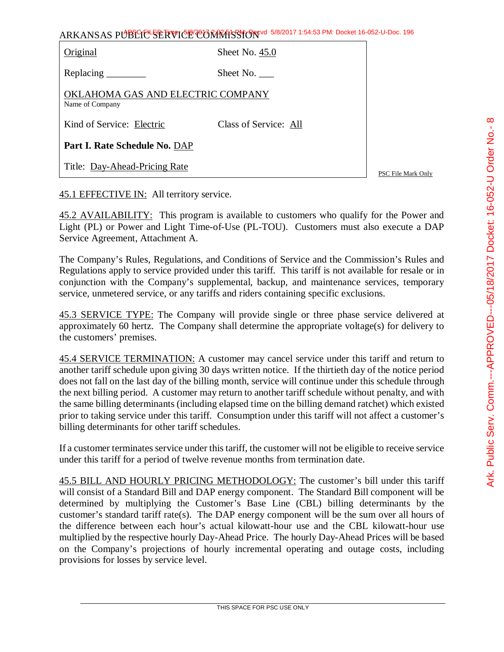| ARKANSAS PUBLIC SERVICE COMMISSION 5/8/2017 1:54:53 PM: Docket 16-052-U-Doc. 196 |                       |  |
|----------------------------------------------------------------------------------|-----------------------|--|
| Original                                                                         | Sheet No. $45.0$      |  |
| Replacing ________                                                               | Sheet No.             |  |
| OKLAHOMA GAS AND ELECTRIC COMPANY<br>Name of Company                             |                       |  |
| Kind of Service: Electric                                                        | Class of Service: All |  |

**Part I. Rate Schedule No.** DAP

Title: Day-Ahead-Pricing Rate

PSC File Mark Only

### 45.1 EFFECTIVE IN: All territory service.

45.2 AVAILABILITY: This program is available to customers who qualify for the Power and Light (PL) or Power and Light Time-of-Use (PL-TOU). Customers must also execute a DAP Service Agreement, Attachment A.

The Company's Rules, Regulations, and Conditions of Service and the Commission's Rules and Regulations apply to service provided under this tariff. This tariff is not available for resale or in conjunction with the Company's supplemental, backup, and maintenance services, temporary service, unmetered service, or any tariffs and riders containing specific exclusions.

45.3 SERVICE TYPE: The Company will provide single or three phase service delivered at approximately 60 hertz. The Company shall determine the appropriate voltage(s) for delivery to the customers' premises.

45.4 SERVICE TERMINATION: A customer may cancel service under this tariff and return to another tariff schedule upon giving 30 days written notice. If the thirtieth day of the notice period does not fall on the last day of the billing month, service will continue under this schedule through the next billing period. A customer may return to another tariff schedule without penalty, and with the same billing determinants (including elapsed time on the billing demand ratchet) which existed prior to taking service under this tariff. Consumption under this tariff will not affect a customer's billing determinants for other tariff schedules.

If a customer terminates service under this tariff, the customer will not be eligible to receive service under this tariff for a period of twelve revenue months from termination date.

45.5 BILL AND HOURLY PRICING METHODOLOGY: The customer's bill under this tariff will consist of a Standard Bill and DAP energy component. The Standard Bill component will be determined by multiplying the Customer's Base Line (CBL) billing determinants by the customer's standard tariff rate(s). The DAP energy component will be the sum over all hours of the difference between each hour's actual kilowatt-hour use and the CBL kilowatt-hour use multiplied by the respective hourly Day-Ahead Price. The hourly Day-Ahead Prices will be based on the Company's projections of hourly incremental operating and outage costs, including provisions for losses by service level.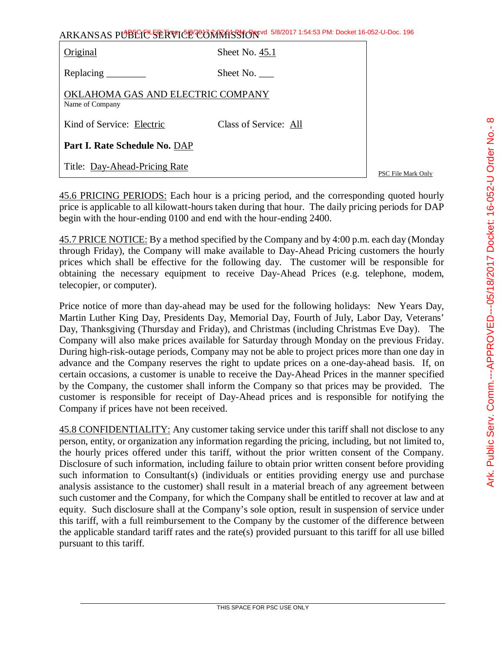| ARKANSAS PUBLICE SERVICE CONTRASSION 5/8/2017 1:54:53 PM: Docket 16-052-U-Doc. 196 |  |
|------------------------------------------------------------------------------------|--|
|------------------------------------------------------------------------------------|--|

| Original                                             | Sheet No. 45.1        |  |
|------------------------------------------------------|-----------------------|--|
|                                                      | Sheet No.             |  |
| OKLAHOMA GAS AND ELECTRIC COMPANY<br>Name of Company |                       |  |
| Kind of Service: Electric                            | Class of Service: All |  |
| Part I. Rate Schedule No. DAP                        |                       |  |
| Title: Day-Ahead-Pricing Rate                        |                       |  |

PSC File Mark Only

45.6 PRICING PERIODS: Each hour is a pricing period, and the corresponding quoted hourly price is applicable to all kilowatt-hours taken during that hour. The daily pricing periods for DAP begin with the hour-ending 0100 and end with the hour-ending 2400.

45.7 PRICE NOTICE: By a method specified by the Company and by 4:00 p.m. each day (Monday through Friday), the Company will make available to Day-Ahead Pricing customers the hourly prices which shall be effective for the following day. The customer will be responsible for obtaining the necessary equipment to receive Day-Ahead Prices (e.g. telephone, modem, telecopier, or computer).

Price notice of more than day-ahead may be used for the following holidays: New Years Day, Martin Luther King Day, Presidents Day, Memorial Day, Fourth of July, Labor Day, Veterans' Day, Thanksgiving (Thursday and Friday), and Christmas (including Christmas Eve Day). The Company will also make prices available for Saturday through Monday on the previous Friday. During high-risk-outage periods, Company may not be able to project prices more than one day in advance and the Company reserves the right to update prices on a one-day-ahead basis. If, on certain occasions, a customer is unable to receive the Day-Ahead Prices in the manner specified by the Company, the customer shall inform the Company so that prices may be provided. The customer is responsible for receipt of Day-Ahead prices and is responsible for notifying the Company if prices have not been received.

45.8 CONFIDENTIALITY: Any customer taking service under this tariff shall not disclose to any person, entity, or organization any information regarding the pricing, including, but not limited to, the hourly prices offered under this tariff, without the prior written consent of the Company. Disclosure of such information, including failure to obtain prior written consent before providing such information to Consultant(s) (individuals or entities providing energy use and purchase analysis assistance to the customer) shall result in a material breach of any agreement between such customer and the Company, for which the Company shall be entitled to recover at law and at equity. Such disclosure shall at the Company's sole option, result in suspension of service under this tariff, with a full reimbursement to the Company by the customer of the difference between the applicable standard tariff rates and the rate(s) provided pursuant to this tariff for all use billed pursuant to this tariff.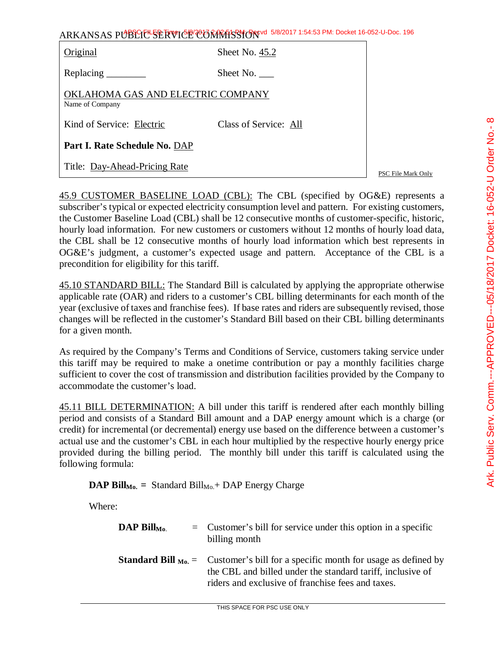| Original                                             | Sheet No. 45.2        |  |
|------------------------------------------------------|-----------------------|--|
| Replacing _________                                  | Sheet No. $\qquad$    |  |
| OKLAHOMA GAS AND ELECTRIC COMPANY<br>Name of Company |                       |  |
| Kind of Service: Electric                            | Class of Service: All |  |
| Part I. Rate Schedule No. DAP                        |                       |  |
| Title: Day-Ahead-Pricing Rate                        |                       |  |

PSC File Mark Only

45.9 CUSTOMER BASELINE LOAD (CBL): The CBL (specified by OG&E) represents a subscriber's typical or expected electricity consumption level and pattern. For existing customers, the Customer Baseline Load (CBL) shall be 12 consecutive months of customer-specific, historic, hourly load information. For new customers or customers without 12 months of hourly load data, the CBL shall be 12 consecutive months of hourly load information which best represents in OG&E's judgment, a customer's expected usage and pattern. Acceptance of the CBL is a precondition for eligibility for this tariff.

45.10 STANDARD BILL: The Standard Bill is calculated by applying the appropriate otherwise applicable rate (OAR) and riders to a customer's CBL billing determinants for each month of the year (exclusive of taxes and franchise fees). If base rates and riders are subsequently revised, those changes will be reflected in the customer's Standard Bill based on their CBL billing determinants for a given month.

As required by the Company's Terms and Conditions of Service, customers taking service under this tariff may be required to make a onetime contribution or pay a monthly facilities charge sufficient to cover the cost of transmission and distribution facilities provided by the Company to accommodate the customer's load.

45.11 BILL DETERMINATION: A bill under this tariff is rendered after each monthly billing period and consists of a Standard Bill amount and a DAP energy amount which is a charge (or credit) for incremental (or decremental) energy use based on the difference between a customer's actual use and the customer's CBL in each hour multiplied by the respective hourly energy price provided during the billing period. The monthly bill under this tariff is calculated using the following formula:

**DAP Bill**<sub>Mo.</sub> = Standard Bill<sub>Mo.</sub> + DAP Energy Charge

Where:

| $\mathbf{DAP}$ Bill <sub>Mo.</sub> | $=$ Customer's bill for service under this option in a specific<br>billing month                                                                                                                                |
|------------------------------------|-----------------------------------------------------------------------------------------------------------------------------------------------------------------------------------------------------------------|
|                                    | <b>Standard Bill</b> $_{M_0}$ = Customer's bill for a specific month for usage as defined by<br>the CBL and billed under the standard tariff, inclusive of<br>riders and exclusive of franchise fees and taxes. |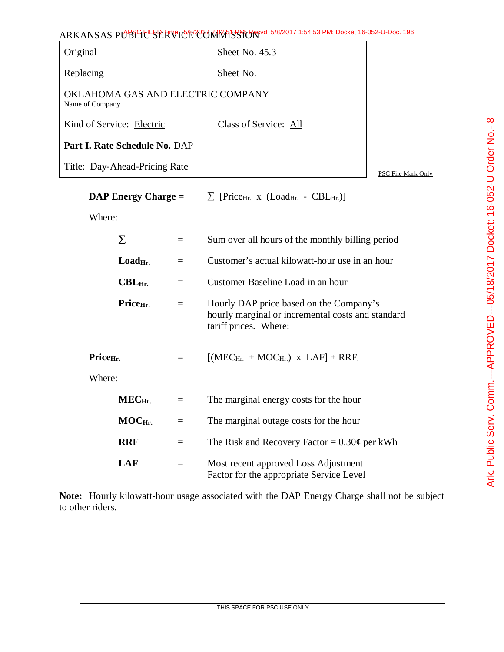| Original                                             | Sheet No. 45.3        |                    |
|------------------------------------------------------|-----------------------|--------------------|
|                                                      | Sheet No. $\_\_$      |                    |
| OKLAHOMA GAS AND ELECTRIC COMPANY<br>Name of Company |                       |                    |
| Kind of Service: Electric                            | Class of Service: All |                    |
| Part I. Rate Schedule No. DAP                        |                       |                    |
| Title: Day-Ahead-Pricing Rate                        |                       | PSC File Mark Only |

| $\bf{DAP}$ Energy Charge = |                                |          | $\sum$ [Price <sub>Hr.</sub> x (Load <sub>Hr.</sub> - CBL <sub>Hr.</sub> )]                                           |  |
|----------------------------|--------------------------------|----------|-----------------------------------------------------------------------------------------------------------------------|--|
| Where:                     |                                |          |                                                                                                                       |  |
|                            | Σ                              | $\equiv$ | Sum over all hours of the monthly billing period                                                                      |  |
|                            | $\mathbf{Load}_{\mathrm{Hr.}}$ | $=$      | Customer's actual kilowatt-hour use in an hour                                                                        |  |
|                            | $\text{CBL}_{\text{Hr.}}$      | $=$      | Customer Baseline Load in an hour                                                                                     |  |
|                            | Price <sub>Hr.</sub>           | $=$      | Hourly DAP price based on the Company's<br>hourly marginal or incremental costs and standard<br>tariff prices. Where: |  |
| Price <sub>Hr.</sub>       |                                | $=$      | $[(MECHi + MOCHi)$ x LAF] + RRF                                                                                       |  |
| Where:                     |                                |          |                                                                                                                       |  |
|                            | MEC <sub>Hr.</sub>             | $=$      | The marginal energy costs for the hour                                                                                |  |
|                            | $MOCHi$ .                      | $\equiv$ | The marginal outage costs for the hour                                                                                |  |
|                            | <b>RRF</b>                     | $=$      | The Risk and Recovery Factor = $0.30\phi$ per kWh                                                                     |  |
|                            | <b>LAF</b>                     | $=$      | Most recent approved Loss Adjustment<br>Factor for the appropriate Service Level                                      |  |

**Note:** Hourly kilowatt-hour usage associated with the DAP Energy Charge shall not be subject to other riders.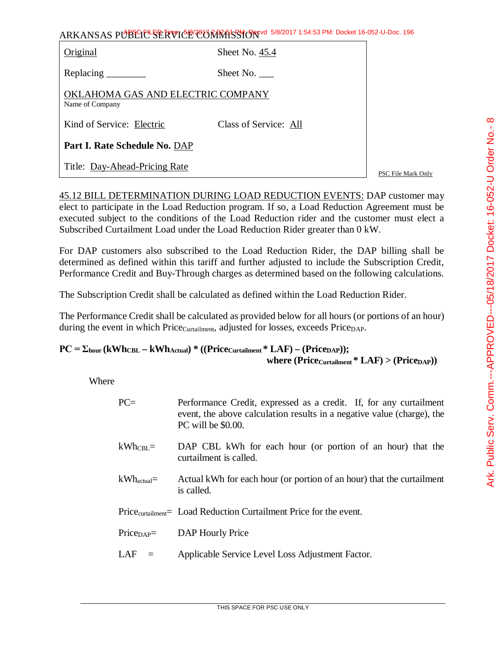Original Sheet No. 45.4

Replacing \_\_\_\_\_\_\_\_ Sheet No. \_\_\_\_

OKLAHOMA GAS AND ELECTRIC COMPANY Name of Company

Kind of Service: Electric Class of Service: All

**Part I. Rate Schedule No.** DAP

Title: Day-Ahead-Pricing Rate

PSC File Mark Only

45.12 BILL DETERMINATION DURING LOAD REDUCTION EVENTS: DAP customer may elect to participate in the Load Reduction program. If so, a Load Reduction Agreement must be executed subject to the conditions of the Load Reduction rider and the customer must elect a Subscribed Curtailment Load under the Load Reduction Rider greater than 0 kW.

For DAP customers also subscribed to the Load Reduction Rider, the DAP billing shall be determined as defined within this tariff and further adjusted to include the Subscription Credit, Performance Credit and Buy-Through charges as determined based on the following calculations.

The Subscription Credit shall be calculated as defined within the Load Reduction Rider.

The Performance Credit shall be calculated as provided below for all hours (or portions of an hour) during the event in which Price<sub>Curtailment</sub>, adjusted for losses, exceeds Price<sub>DAP</sub>.

### $PC = \sum_{\text{hour}} (\text{kWh}_{\text{CBL}} - \text{kWh}_{\text{Actual}})$  \*  $((\text{Price}_{\text{Cartailment}} * \text{LAF}) - (\text{Price}_{\text{DAP}}));$ **where (PriceCurtailment \* LAF) > (PriceDAP))**

Where

| $PC=$                  | Performance Credit, expressed as a credit. If, for any curtailment<br>event, the above calculation results in a negative value (charge), the<br>PC will be \$0.00. |
|------------------------|--------------------------------------------------------------------------------------------------------------------------------------------------------------------|
| $kWhCBL =$             | DAP CBL kWh for each hour (or portion of an hour) that the<br>curtailment is called.                                                                               |
| $kWh_{\text{actual}}=$ | Actual kWh for each hour (or portion of an hour) that the curtailment<br>is called.                                                                                |
|                        | Price <sub>curtailment</sub> Load Reduction Curtailment Price for the event.                                                                                       |
| $PriceDAP =$           | DAP Hourly Price                                                                                                                                                   |
| LAF<br>$\equiv$        | Applicable Service Level Loss Adjustment Factor.                                                                                                                   |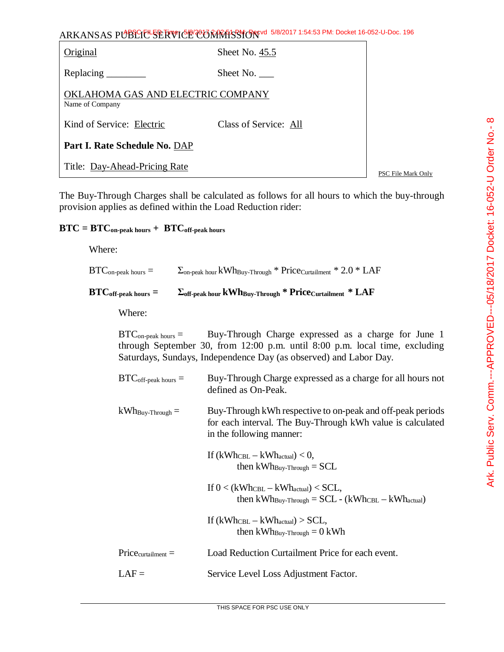Ark. Public Serv. Comm.---APPROVED---05/18/2017 Docket: 16-052-U Order No.- 8 Ark. Public Serv. Comm.---APPROVED---05/18/2017 Docket: 16-052-U Order No.- 8

ARKANSAS PUBLIC SERVICE COMMISSION 5/8/2017 1:54:53 PM: Docket 16-052-U-Doc. 196

| Original                                             | Sheet No. 45.5        |  |
|------------------------------------------------------|-----------------------|--|
|                                                      | Sheet No.             |  |
| OKLAHOMA GAS AND ELECTRIC COMPANY<br>Name of Company |                       |  |
| Kind of Service: Electric                            | Class of Service: All |  |
| Part I. Rate Schedule No. DAP                        |                       |  |
| Title: Day-Ahead-Pricing Rate                        |                       |  |

PSC File Mark Only

The Buy-Through Charges shall be calculated as follows for all hours to which the buy-through provision applies as defined within the Load Reduction rider:

# $\text{BTC} = \text{BTC}_{\text{on-peak hours}} + \text{BTC}_{\text{off-peak hours}}$

Where:

| $BTC_{\text{on-peak hours}} =$                | $\Sigma_{\text{on-peak hour}}$ kWh <sub>Buy-Through</sub> * Price <sub>Curtailment</sub> * 2.0 * LAF                                                                                                    |
|-----------------------------------------------|---------------------------------------------------------------------------------------------------------------------------------------------------------------------------------------------------------|
| $\operatorname{BTC}_{\text{off-peak hours}}=$ | $\Sigma_{\text{off-peak hour}}$ kWh <sub>Buy-Through</sub> * Price <sub>Curtailment</sub> * LAF                                                                                                         |
| Where:                                        |                                                                                                                                                                                                         |
| $BTC_{\text{on-peak hours}} =$                | Buy-Through Charge expressed as a charge for June 1<br>through September 30, from 12:00 p.m. until 8:00 p.m. local time, excluding<br>Saturdays, Sundays, Independence Day (as observed) and Labor Day. |
| $BTC_{off-peak \; hours} =$                   | Buy-Through Charge expressed as a charge for all hours not<br>defined as On-Peak.                                                                                                                       |
| $kWh_{\text{Buy-Through}} =$                  | Buy-Through kWh respective to on-peak and off-peak periods<br>for each interval. The Buy-Through kWh value is calculated<br>in the following manner:                                                    |
|                                               | If $(kWh_{\text{CBL}} - kWh_{\text{actual}}) < 0$ ,<br>then $kWh_{\text{Buy-Throught}} = SCL$                                                                                                           |
|                                               | If $0 < (kWh_{\text{CBL}} - kWh_{\text{actual}}) < \text{SCL}$ ,<br>then $kWh_{\text{Buy-Through}} = SCL - (kWh_{\text{CBL}} - kWh_{\text{actual}})$                                                    |
|                                               | If $(kWh_{\text{CBL}} - kWh_{\text{actual}}) > SCL$ ,<br>then $kWh_{\text{Buy-Throught}} = 0$ kWh                                                                                                       |
| $Price_{cutailment} =$                        | Load Reduction Curtailment Price for each event.                                                                                                                                                        |
| $LAF =$                                       | Service Level Loss Adjustment Factor.                                                                                                                                                                   |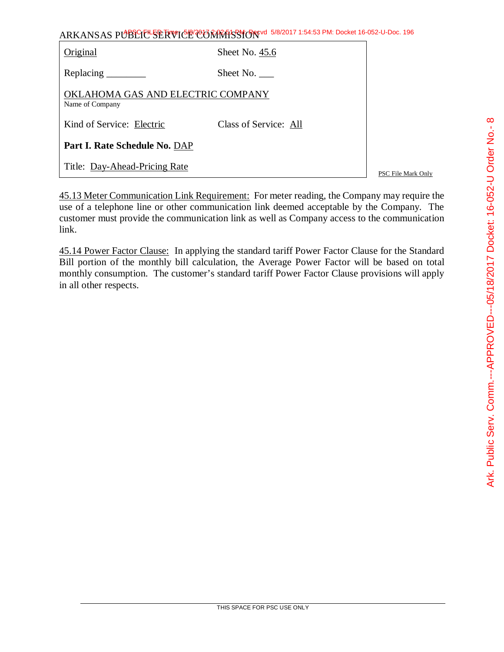| ARKANSAS PUBLIC SERVICE CONTRASSION 5/8/2017 1:54:53 PM: Docket 16-052-U-Doc. 196 |  |
|-----------------------------------------------------------------------------------|--|
|-----------------------------------------------------------------------------------|--|

| Original                                             | Sheet No. 45.6        |  |
|------------------------------------------------------|-----------------------|--|
| Replacing $\frac{\ }{\ }$                            | Sheet No.             |  |
| OKLAHOMA GAS AND ELECTRIC COMPANY<br>Name of Company |                       |  |
| Kind of Service: Electric                            | Class of Service: All |  |
| Part I. Rate Schedule No. DAP                        |                       |  |
| Title: Day-Ahead-Pricing Rate                        |                       |  |

PSC File Mark Only

45.13 Meter Communication Link Requirement: For meter reading, the Company may require the use of a telephone line or other communication link deemed acceptable by the Company. The customer must provide the communication link as well as Company access to the communication link.

45.14 Power Factor Clause: In applying the standard tariff Power Factor Clause for the Standard Bill portion of the monthly bill calculation, the Average Power Factor will be based on total monthly consumption. The customer's standard tariff Power Factor Clause provisions will apply in all other respects.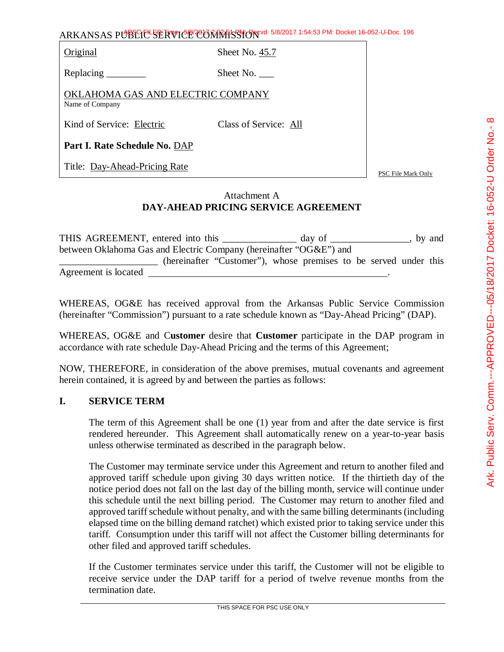Original Sheet No. 45.7

Replacing Sheet No.

OKLAHOMA GAS AND ELECTRIC COMPANY Name of Company

Kind of Service: Electric Class of Service: All

**Part I. Rate Schedule No.** DAP

Title: Day-Ahead-Pricing Rate

PSC File Mark Only

### Attachment A **DAY-AHEAD PRICING SERVICE AGREEMENT**

| THIS AGREEMENT, entered into this                                  |                                                                  | day of |  | by and |
|--------------------------------------------------------------------|------------------------------------------------------------------|--------|--|--------|
| between Oklahoma Gas and Electric Company (hereinafter "OG&E") and |                                                                  |        |  |        |
|                                                                    | (hereinafter "Customer"), whose premises to be served under this |        |  |        |
| Agreement is located                                               |                                                                  |        |  |        |

WHEREAS, OG&E has received approval from the Arkansas Public Service Commission (hereinafter "Commission") pursuant to a rate schedule known as "Day-Ahead Pricing" (DAP).

WHEREAS, OG&E and C**ustomer** desire that **Customer** participate in the DAP program in accordance with rate schedule Day-Ahead Pricing and the terms of this Agreement;

NOW, THEREFORE, in consideration of the above premises, mutual covenants and agreement herein contained, it is agreed by and between the parties as follows:

#### **I. SERVICE TERM**

The term of this Agreement shall be one (1) year from and after the date service is first rendered hereunder. This Agreement shall automatically renew on a year-to-year basis unless otherwise terminated as described in the paragraph below.

The Customer may terminate service under this Agreement and return to another filed and approved tariff schedule upon giving 30 days written notice. If the thirtieth day of the notice period does not fall on the last day of the billing month, service will continue under this schedule until the next billing period. The Customer may return to another filed and approved tariff schedule without penalty, and with the same billing determinants (including elapsed time on the billing demand ratchet) which existed prior to taking service under this tariff. Consumption under this tariff will not affect the Customer billing determinants for other filed and approved tariff schedules.

If the Customer terminates service under this tariff, the Customer will not be eligible to receive service under the DAP tariff for a period of twelve revenue months from the termination date.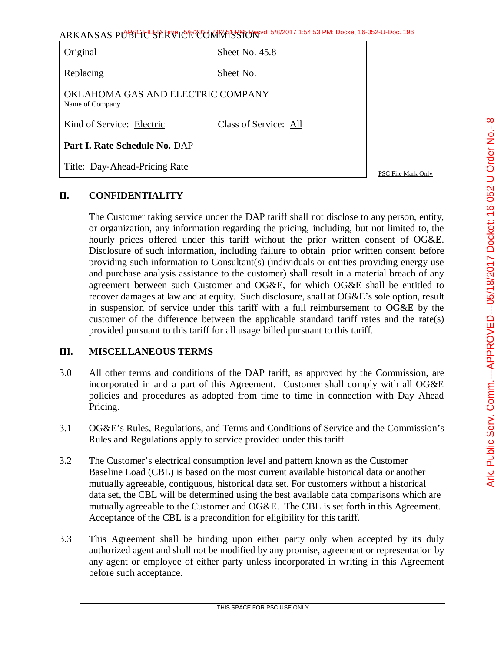|                                                      | ARKANSAS PUBLICLSERVICE CORRATSSION 5/8/2017 1:54:53 PM: Docket 16-052-U-Doc. 196 |                    |
|------------------------------------------------------|-----------------------------------------------------------------------------------|--------------------|
| Original                                             | Sheet No. 45.8                                                                    |                    |
|                                                      | Sheet No. $\_\_$                                                                  |                    |
| OKLAHOMA GAS AND ELECTRIC COMPANY<br>Name of Company |                                                                                   |                    |
| Kind of Service: Electric                            | Class of Service: All                                                             |                    |
| Part I. Rate Schedule No. DAP                        |                                                                                   |                    |
| Title: Day-Ahead-Pricing Rate                        |                                                                                   | PSC File Mark Only |

## **II. CONFIDENTIALITY**

The Customer taking service under the DAP tariff shall not disclose to any person, entity, or organization, any information regarding the pricing, including, but not limited to, the hourly prices offered under this tariff without the prior written consent of OG&E. Disclosure of such information, including failure to obtain prior written consent before providing such information to Consultant(s) (individuals or entities providing energy use and purchase analysis assistance to the customer) shall result in a material breach of any agreement between such Customer and OG&E, for which OG&E shall be entitled to recover damages at law and at equity. Such disclosure, shall at OG&E's sole option, result in suspension of service under this tariff with a full reimbursement to OG&E by the customer of the difference between the applicable standard tariff rates and the rate(s) provided pursuant to this tariff for all usage billed pursuant to this tariff.

### **III. MISCELLANEOUS TERMS**

- 3.0 All other terms and conditions of the DAP tariff, as approved by the Commission, are incorporated in and a part of this Agreement. Customer shall comply with all OG&E policies and procedures as adopted from time to time in connection with Day Ahead Pricing.
- 3.1 OG&E's Rules, Regulations, and Terms and Conditions of Service and the Commission's Rules and Regulations apply to service provided under this tariff.
- 3.2 The Customer's electrical consumption level and pattern known as the Customer Baseline Load (CBL) is based on the most current available historical data or another mutually agreeable, contiguous, historical data set. For customers without a historical data set, the CBL will be determined using the best available data comparisons which are mutually agreeable to the Customer and OG&E. The CBL is set forth in this Agreement. Acceptance of the CBL is a precondition for eligibility for this tariff.
- 3.3 This Agreement shall be binding upon either party only when accepted by its duly authorized agent and shall not be modified by any promise, agreement or representation by any agent or employee of either party unless incorporated in writing in this Agreement before such acceptance.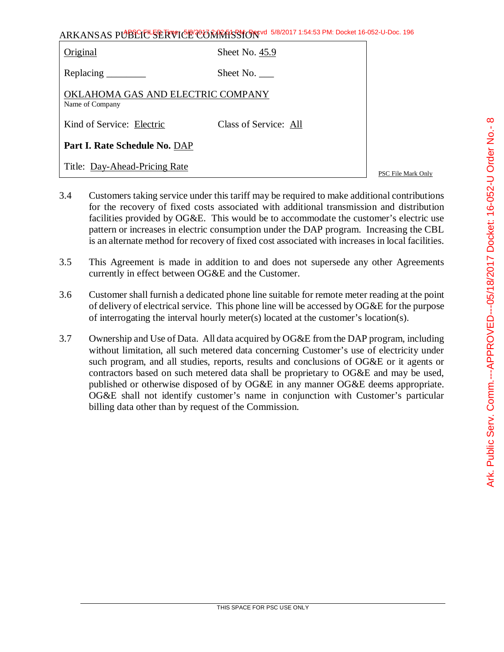| ARKANSAS PUBLICE SERVICE CORRATSSION 5/8/2017 1:54:53 PM: Docket 16-052-U-Doc. 196 |  |
|------------------------------------------------------------------------------------|--|
|------------------------------------------------------------------------------------|--|

| Original                                             | Sheet No. 45.9        |  |  |
|------------------------------------------------------|-----------------------|--|--|
| Replacing $\frac{\ }{\ }$                            | Sheet No.             |  |  |
| OKLAHOMA GAS AND ELECTRIC COMPANY<br>Name of Company |                       |  |  |
| Kind of Service: Electric                            | Class of Service: All |  |  |
| Part I. Rate Schedule No. DAP                        |                       |  |  |
| Title: Day-Ahead-Pricing Rate                        |                       |  |  |

PSC File Mark Only

- 3.4 Customers taking service under this tariff may be required to make additional contributions for the recovery of fixed costs associated with additional transmission and distribution facilities provided by OG&E. This would be to accommodate the customer's electric use pattern or increases in electric consumption under the DAP program. Increasing the CBL is an alternate method for recovery of fixed cost associated with increases in local facilities.
- 3.5 This Agreement is made in addition to and does not supersede any other Agreements currently in effect between OG&E and the Customer.
- 3.6 Customer shall furnish a dedicated phone line suitable for remote meter reading at the point of delivery of electrical service. This phone line will be accessed by OG&E for the purpose of interrogating the interval hourly meter(s) located at the customer's location(s).
- 3.7 Ownership and Use of Data. All data acquired by OG&E from the DAP program, including without limitation, all such metered data concerning Customer's use of electricity under such program, and all studies, reports, results and conclusions of OG&E or it agents or contractors based on such metered data shall be proprietary to OG&E and may be used, published or otherwise disposed of by OG&E in any manner OG&E deems appropriate. OG&E shall not identify customer's name in conjunction with Customer's particular billing data other than by request of the Commission.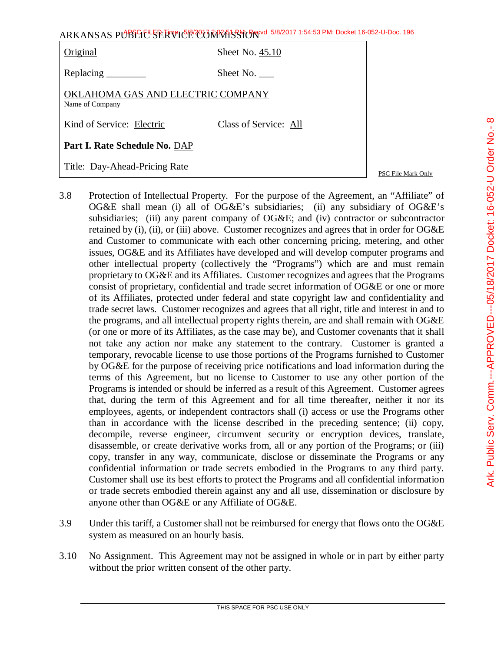| Original                                             | Sheet No. 45.10       |
|------------------------------------------------------|-----------------------|
|                                                      | Sheet No.             |
| OKLAHOMA GAS AND ELECTRIC COMPANY<br>Name of Company |                       |
| Kind of Service: Electric                            | Class of Service: All |
| Part I. Rate Schedule No. DAP                        |                       |
| Title: Day-Ahead-Pricing Rate                        |                       |

PSC File Mark Only

- 3.8 Protection of Intellectual Property. For the purpose of the Agreement, an "Affiliate" of OG&E shall mean (i) all of OG&E's subsidiaries; (ii) any subsidiary of OG&E's subsidiaries; (iii) any parent company of OG&E; and (iv) contractor or subcontractor retained by (i), (ii), or (iii) above. Customer recognizes and agrees that in order for OG&E and Customer to communicate with each other concerning pricing, metering, and other issues, OG&E and its Affiliates have developed and will develop computer programs and other intellectual property (collectively the "Programs") which are and must remain proprietary to OG&E and its Affiliates. Customer recognizes and agrees that the Programs consist of proprietary, confidential and trade secret information of OG&E or one or more of its Affiliates, protected under federal and state copyright law and confidentiality and trade secret laws. Customer recognizes and agrees that all right, title and interest in and to the programs, and all intellectual property rights therein, are and shall remain with OG&E (or one or more of its Affiliates, as the case may be), and Customer covenants that it shall not take any action nor make any statement to the contrary. Customer is granted a temporary, revocable license to use those portions of the Programs furnished to Customer by OG&E for the purpose of receiving price notifications and load information during the terms of this Agreement, but no license to Customer to use any other portion of the Programs is intended or should be inferred as a result of this Agreement. Customer agrees that, during the term of this Agreement and for all time thereafter, neither it nor its employees, agents, or independent contractors shall (i) access or use the Programs other than in accordance with the license described in the preceding sentence; (ii) copy, decompile, reverse engineer, circumvent security or encryption devices, translate, disassemble, or create derivative works from, all or any portion of the Programs; or (iii) copy, transfer in any way, communicate, disclose or disseminate the Programs or any confidential information or trade secrets embodied in the Programs to any third party. Customer shall use its best efforts to protect the Programs and all confidential information or trade secrets embodied therein against any and all use, dissemination or disclosure by anyone other than OG&E or any Affiliate of OG&E.
- 3.9 Under this tariff, a Customer shall not be reimbursed for energy that flows onto the OG&E system as measured on an hourly basis.
- 3.10 No Assignment. This Agreement may not be assigned in whole or in part by either party without the prior written consent of the other party.